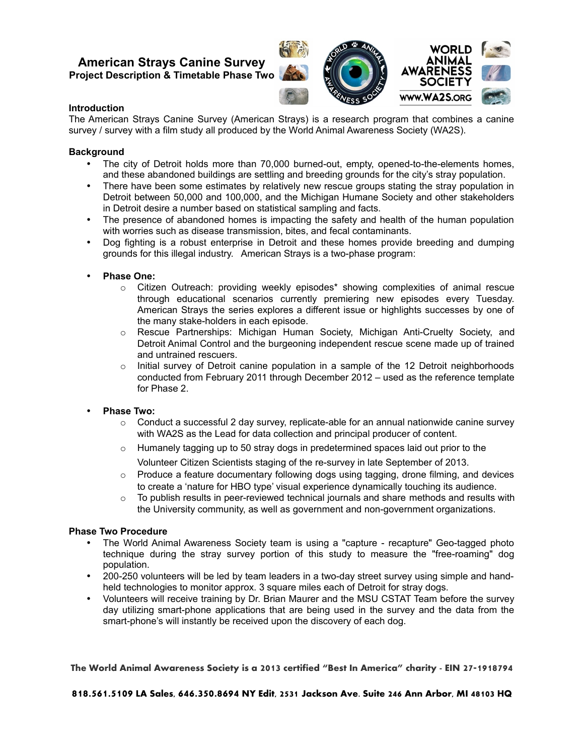# **American Strays Canine Survey Project Description & Timetable Phase Two**



# **Introduction**

The American Strays Canine Survey (American Strays) is a research program that combines a canine survey / survey with a film study all produced by the World Animal Awareness Society (WA2S).

## **Background**

- The city of Detroit holds more than 70,000 burned-out, empty, opened-to-the-elements homes, and these abandoned buildings are settling and breeding grounds for the city's stray population.
- There have been some estimates by relatively new rescue groups stating the stray population in Detroit between 50,000 and 100,000, and the Michigan Humane Society and other stakeholders in Detroit desire a number based on statistical sampling and facts.
- The presence of abandoned homes is impacting the safety and health of the human population with worries such as disease transmission, bites, and fecal contaminants.
- Dog fighting is a robust enterprise in Detroit and these homes provide breeding and dumping grounds for this illegal industry. American Strays is a two-phase program:

### • **Phase One:**

- o Citizen Outreach: providing weekly episodes\* showing complexities of animal rescue through educational scenarios currently premiering new episodes every Tuesday. American Strays the series explores a different issue or highlights successes by one of the many stake-holders in each episode.
- o Rescue Partnerships: Michigan Human Society, Michigan Anti-Cruelty Society, and Detroit Animal Control and the burgeoning independent rescue scene made up of trained and untrained rescuers.
- o Initial survey of Detroit canine population in a sample of the 12 Detroit neighborhoods conducted from February 2011 through December 2012 – used as the reference template for Phase 2.
- **Phase Two:**
	- $\circ$  Conduct a successful 2 day survey, replicate-able for an annual nationwide canine survey with WA2S as the Lead for data collection and principal producer of content.
	- $\circ$  Humanely tagging up to 50 stray dogs in predetermined spaces laid out prior to the Volunteer Citizen Scientists staging of the re-survey in late September of 2013.
	- $\circ$  Produce a feature documentary following dogs using tagging, drone filming, and devices to create a 'nature for HBO type' visual experience dynamically touching its audience.
	- $\circ$  To publish results in peer-reviewed technical journals and share methods and results with the University community, as well as government and non-government organizations.

#### **Phase Two Procedure**

- The World Animal Awareness Society team is using a "capture recapture" Geo-tagged photo technique during the stray survey portion of this study to measure the "free-roaming" dog population.
- 200-250 volunteers will be led by team leaders in a two-day street survey using simple and handheld technologies to monitor approx. 3 square miles each of Detroit for stray dogs.
- Volunteers will receive training by Dr. Brian Maurer and the MSU CSTAT Team before the survey day utilizing smart-phone applications that are being used in the survey and the data from the smart-phone's will instantly be received upon the discovery of each dog.

**The World Animal Awareness Society is a 2013 certified "Best In America" charity - EIN 27-1918794**

**818.561.5109 LA Sales, 646.350.8694 NY Edit, 2531 Jackson Ave. Suite 246 Ann Arbor, MI 48103 HQ**